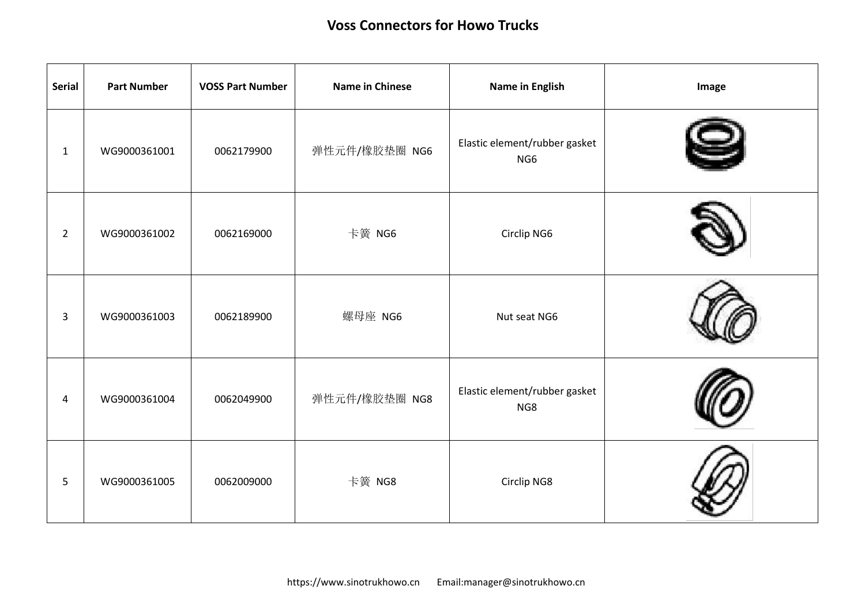| <b>Serial</b>  | <b>Part Number</b> | <b>VOSS Part Number</b> | <b>Name in Chinese</b> | Name in English                                  | Image |
|----------------|--------------------|-------------------------|------------------------|--------------------------------------------------|-------|
| $\mathbf{1}$   | WG9000361001       | 0062179900              | 弹性元件/橡胶垫圈 NG6          | Elastic element/rubber gasket<br>NG <sub>6</sub> |       |
| $\overline{2}$ | WG9000361002       | 0062169000              | 卡簧 NG6                 | Circlip NG6                                      |       |
| $\mathbf{3}$   | WG9000361003       | 0062189900              | 螺母座 NG6                | Nut seat NG6                                     |       |
| 4              | WG9000361004       | 0062049900              | 弹性元件/橡胶垫圈 NG8          | Elastic element/rubber gasket<br>NG8             |       |
| 5              | WG9000361005       | 0062009000              | 卡簧 NG8                 | Circlip NG8                                      |       |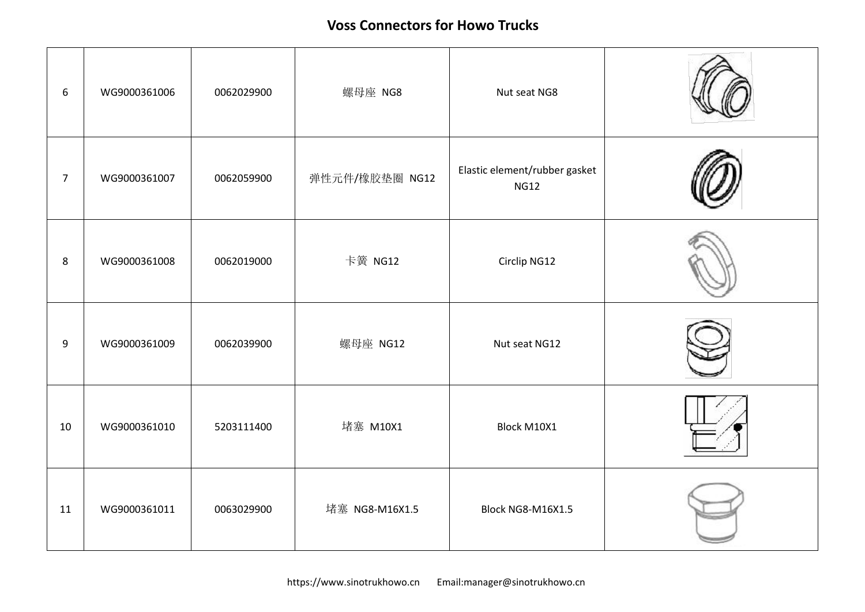| 6              | WG9000361006 | 0062029900 | 螺母座 NG8        | Nut seat NG8                                 |  |
|----------------|--------------|------------|----------------|----------------------------------------------|--|
| $\overline{7}$ | WG9000361007 | 0062059900 | 弹性元件/橡胶垫圈 NG12 | Elastic element/rubber gasket<br><b>NG12</b> |  |
| 8              | WG9000361008 | 0062019000 | 卡簧 NG12        | Circlip NG12                                 |  |
| 9              | WG9000361009 | 0062039900 | 螺母座 NG12       | Nut seat NG12                                |  |
| 10             | WG9000361010 | 5203111400 | 堵塞 M10X1       | Block M10X1                                  |  |
| 11             | WG9000361011 | 0063029900 | 堵塞 NG8-M16X1.5 | Block NG8-M16X1.5                            |  |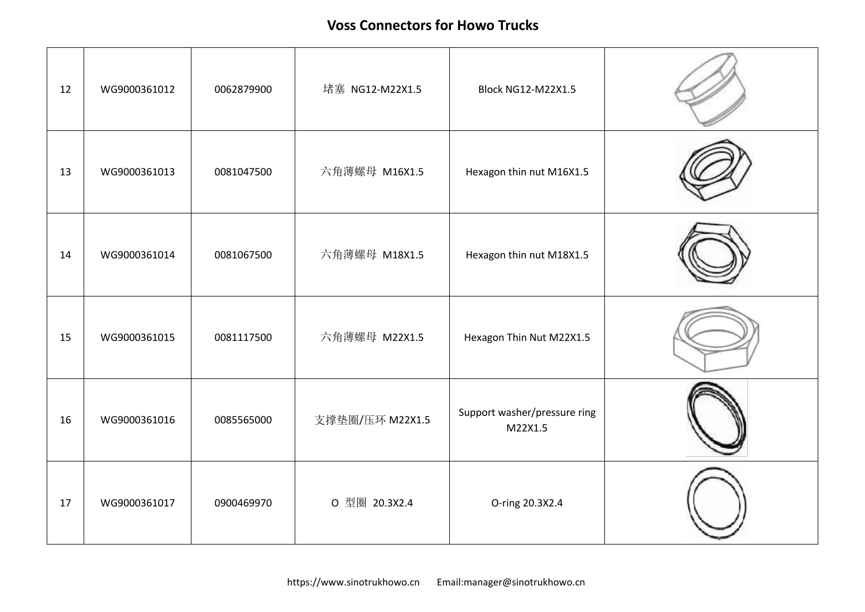| 12 | WG9000361012 | 0062879900 | 堵塞 NG12-M22X1.5 | <b>Block NG12-M22X1.5</b>               |  |
|----|--------------|------------|-----------------|-----------------------------------------|--|
| 13 | WG9000361013 | 0081047500 | 六角薄螺母 M16X1.5   | Hexagon thin nut M16X1.5                |  |
| 14 | WG9000361014 | 0081067500 | 六角薄螺母 M18X1.5   | Hexagon thin nut M18X1.5                |  |
| 15 | WG9000361015 | 0081117500 | 六角薄螺母 M22X1.5   | Hexagon Thin Nut M22X1.5                |  |
| 16 | WG9000361016 | 0085565000 | 支撑垫圈/压环 M22X1.5 | Support washer/pressure ring<br>M22X1.5 |  |
| 17 | WG9000361017 | 0900469970 | O 型圈 20.3X2.4   | O-ring 20.3X2.4                         |  |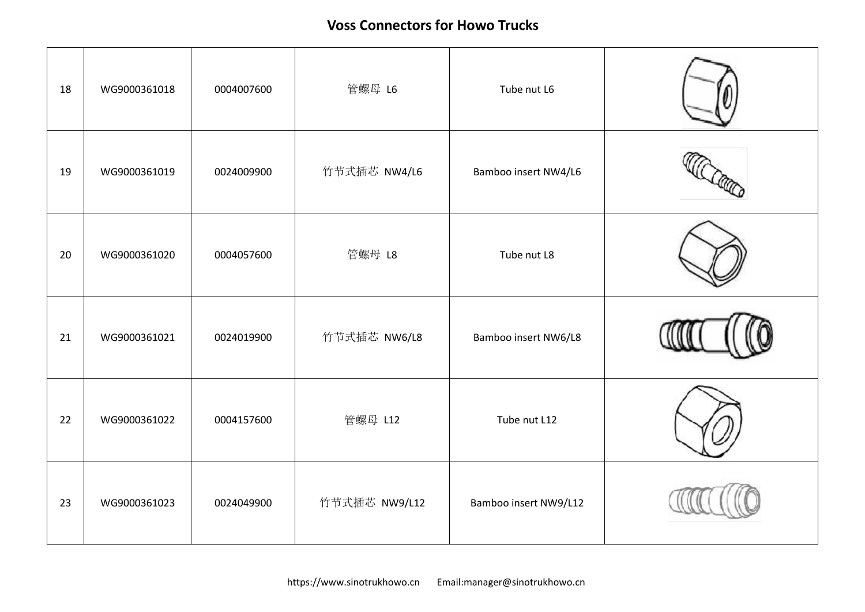| 18 | WG9000361018 | 0004007600 | 管螺母 L6        | Tube nut L6           |  |
|----|--------------|------------|---------------|-----------------------|--|
| 19 | WG9000361019 | 0024009900 | 竹节式插芯 NW4/L6  | Bamboo insert NW4/L6  |  |
| 20 | WG9000361020 | 0004057600 | 管螺母 L8        | Tube nut L8           |  |
| 21 | WG9000361021 | 0024019900 | 竹节式插芯 NW6/L8  | Bamboo insert NW6/L8  |  |
| 22 | WG9000361022 | 0004157600 | 管螺母 L12       | Tube nut L12          |  |
| 23 | WG9000361023 | 0024049900 | 竹节式插芯 NW9/L12 | Bamboo insert NW9/L12 |  |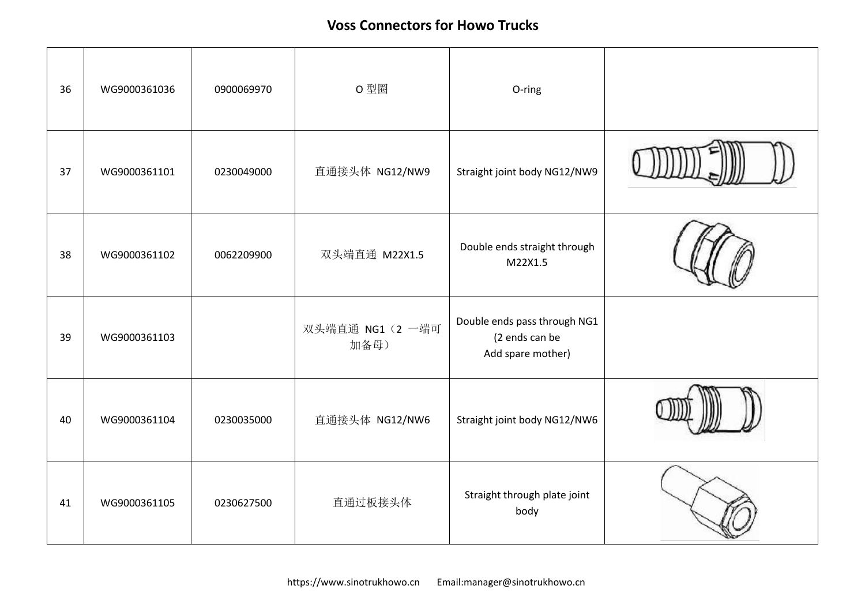| 36 | WG9000361036 | 0900069970 | 0型圈                      | O-ring                                                              |  |
|----|--------------|------------|--------------------------|---------------------------------------------------------------------|--|
| 37 | WG9000361101 | 0230049000 | 直通接头体 NG12/NW9           | Straight joint body NG12/NW9                                        |  |
| 38 | WG9000361102 | 0062209900 | 双头端直通 M22X1.5            | Double ends straight through<br>M22X1.5                             |  |
| 39 | WG9000361103 |            | 双头端直通 NG1 (2 一端可<br>加备母) | Double ends pass through NG1<br>(2 ends can be<br>Add spare mother) |  |
| 40 | WG9000361104 | 0230035000 | 直通接头体 NG12/NW6           | Straight joint body NG12/NW6                                        |  |
| 41 | WG9000361105 | 0230627500 | 直通过板接头体                  | Straight through plate joint<br>body                                |  |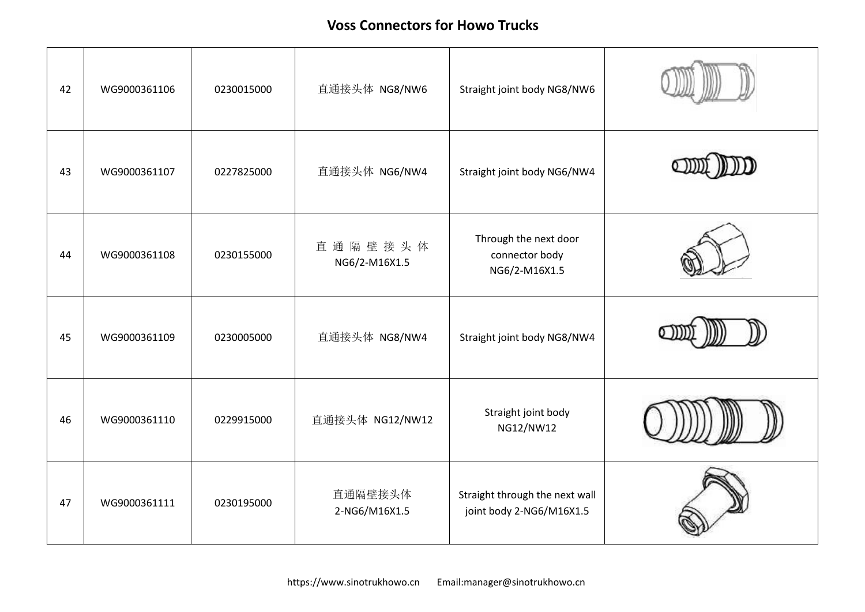| 42 | WG9000361106 | 0230015000 | 直通接头体 NG8/NW6            | Straight joint body NG8/NW6                                |  |
|----|--------------|------------|--------------------------|------------------------------------------------------------|--|
| 43 | WG9000361107 | 0227825000 | 直通接头体 NG6/NW4            | Straight joint body NG6/NW4                                |  |
| 44 | WG9000361108 | 0230155000 | 直通隔壁接头体<br>NG6/2-M16X1.5 | Through the next door<br>connector body<br>NG6/2-M16X1.5   |  |
| 45 | WG9000361109 | 0230005000 | 直通接头体 NG8/NW4            | Straight joint body NG8/NW4                                |  |
| 46 | WG9000361110 | 0229915000 | 直通接头体 NG12/NW12          | Straight joint body<br>NG12/NW12                           |  |
| 47 | WG9000361111 | 0230195000 | 直通隔壁接头体<br>2-NG6/M16X1.5 | Straight through the next wall<br>joint body 2-NG6/M16X1.5 |  |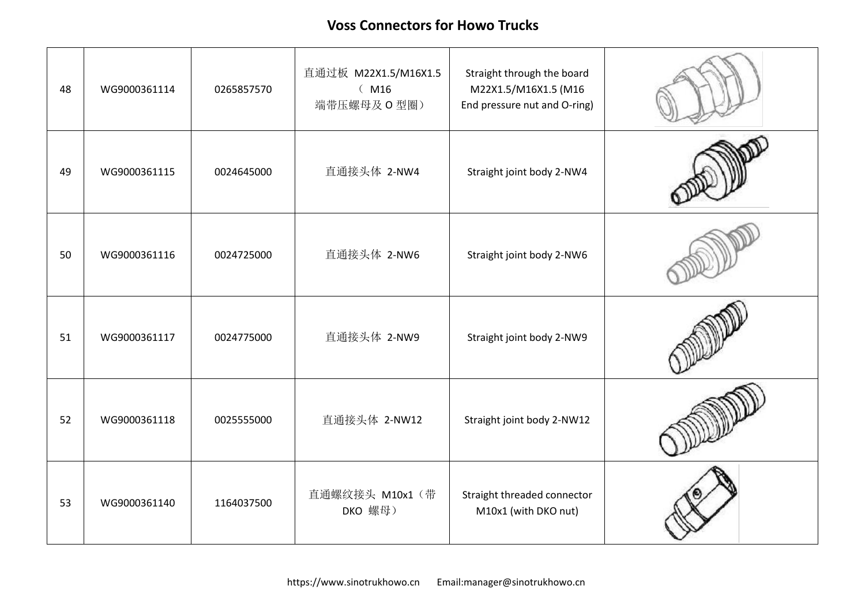| 48 | WG9000361114 | 0265857570 | 直通过板 M22X1.5/M16X1.5<br>(M16)<br>端带压螺母及 O 型圈) | Straight through the board<br>M22X1.5/M16X1.5 (M16<br>End pressure nut and O-ring) |  |
|----|--------------|------------|-----------------------------------------------|------------------------------------------------------------------------------------|--|
| 49 | WG9000361115 | 0024645000 | 直通接头体 2-NW4                                   | Straight joint body 2-NW4                                                          |  |
| 50 | WG9000361116 | 0024725000 | 直通接头体 2-NW6                                   | Straight joint body 2-NW6                                                          |  |
| 51 | WG9000361117 | 0024775000 | 直通接头体 2-NW9                                   | Straight joint body 2-NW9                                                          |  |
| 52 | WG9000361118 | 0025555000 | 直通接头体 2-NW12                                  | Straight joint body 2-NW12                                                         |  |
| 53 | WG9000361140 | 1164037500 | 直通螺纹接头 M10x1 (带<br>DKO 螺母)                    | Straight threaded connector<br>M10x1 (with DKO nut)                                |  |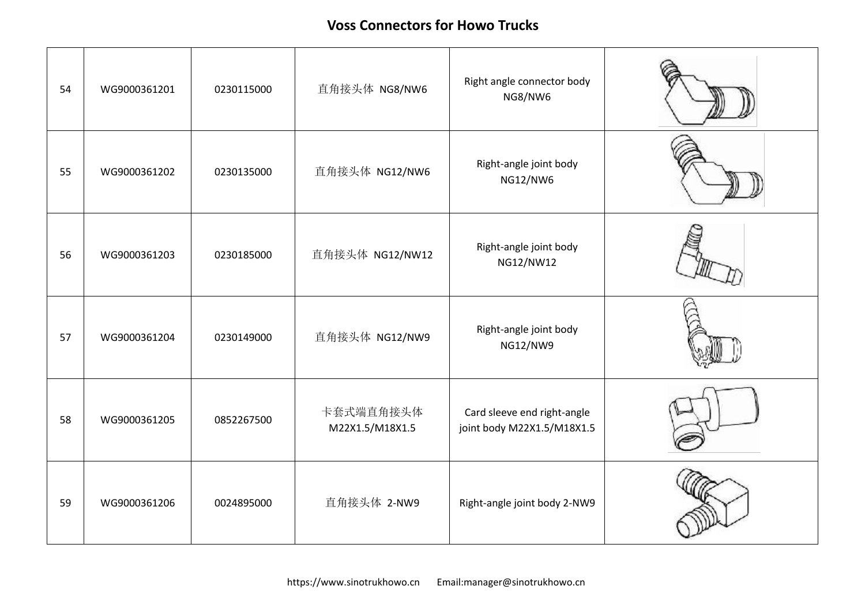| 54 | WG9000361201 | 0230115000 | 直角接头体 NG8/NW6                | Right angle connector body<br>NG8/NW6                     |  |
|----|--------------|------------|------------------------------|-----------------------------------------------------------|--|
| 55 | WG9000361202 | 0230135000 | 直角接头体 NG12/NW6               | Right-angle joint body<br>NG12/NW6                        |  |
| 56 | WG9000361203 | 0230185000 | 直角接头体 NG12/NW12              | Right-angle joint body<br>NG12/NW12                       |  |
| 57 | WG9000361204 | 0230149000 | 直角接头体 NG12/NW9               | Right-angle joint body<br>NG12/NW9                        |  |
| 58 | WG9000361205 | 0852267500 | 卡套式端直角接头体<br>M22X1.5/M18X1.5 | Card sleeve end right-angle<br>joint body M22X1.5/M18X1.5 |  |
| 59 | WG9000361206 | 0024895000 | 直角接头体 2-NW9                  | Right-angle joint body 2-NW9                              |  |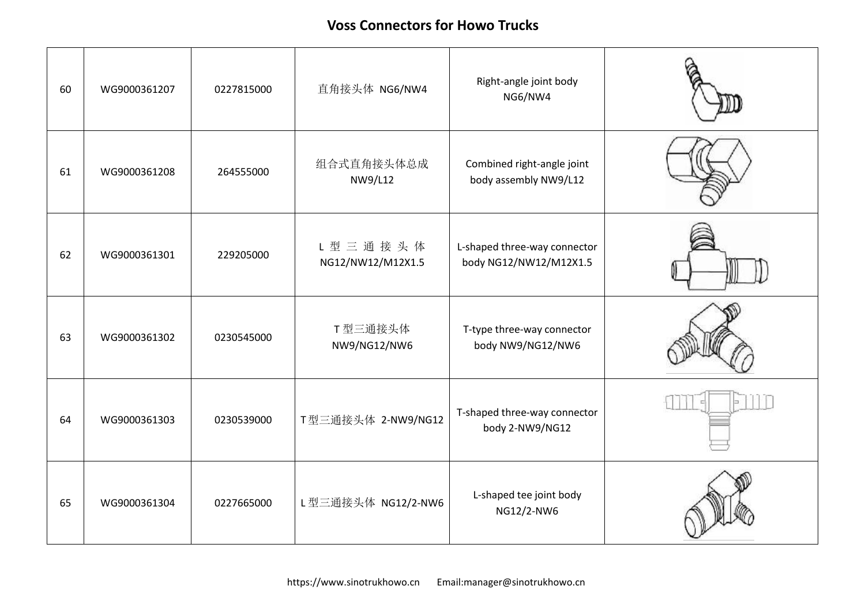| 60 | WG9000361207 | 0227815000 | 直角接头体 NG6/NW4                | Right-angle joint body<br>NG6/NW4                      |  |
|----|--------------|------------|------------------------------|--------------------------------------------------------|--|
| 61 | WG9000361208 | 264555000  | 组合式直角接头体总成<br>NW9/L12        | Combined right-angle joint<br>body assembly NW9/L12    |  |
| 62 | WG9000361301 | 229205000  | L型三通接头体<br>NG12/NW12/M12X1.5 | L-shaped three-way connector<br>body NG12/NW12/M12X1.5 |  |
| 63 | WG9000361302 | 0230545000 | T型三通接头体<br>NW9/NG12/NW6      | T-type three-way connector<br>body NW9/NG12/NW6        |  |
| 64 | WG9000361303 | 0230539000 | T型三通接头体 2-NW9/NG12           | T-shaped three-way connector<br>body 2-NW9/NG12        |  |
| 65 | WG9000361304 | 0227665000 | L型三通接头体 NG12/2-NW6           | L-shaped tee joint body<br>NG12/2-NW6                  |  |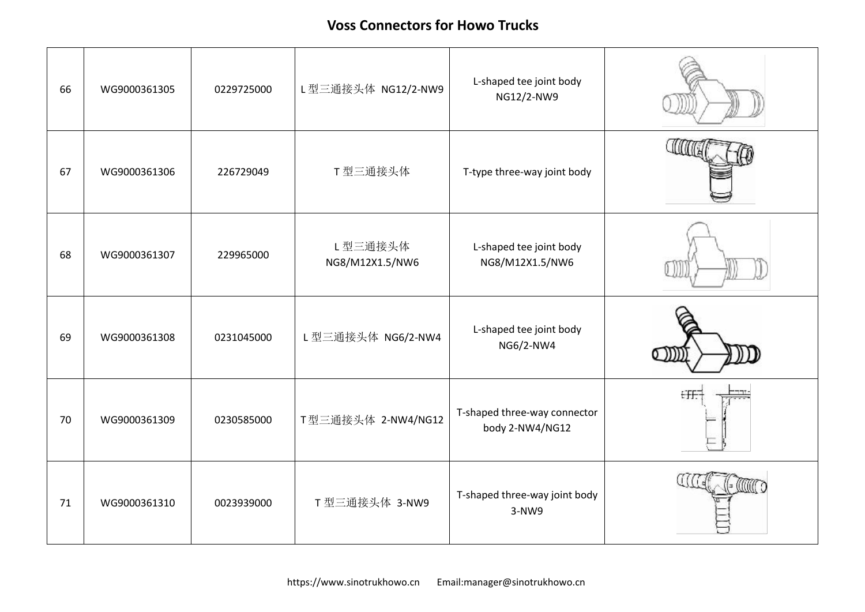| 66 | WG9000361305 | 0229725000 | L型三通接头体 NG12/2-NW9         | L-shaped tee joint body<br>NG12/2-NW9           |    |
|----|--------------|------------|----------------------------|-------------------------------------------------|----|
| 67 | WG9000361306 | 226729049  | T型三通接头体                    | T-type three-way joint body                     |    |
| 68 | WG9000361307 | 229965000  | L型三通接头体<br>NG8/M12X1.5/NW6 | L-shaped tee joint body<br>NG8/M12X1.5/NW6      |    |
| 69 | WG9000361308 | 0231045000 | L 型三通接头体 NG6/2-NW4         | L-shaped tee joint body<br>NG6/2-NW4            |    |
| 70 | WG9000361309 | 0230585000 | T型三通接头体 2-NW4/NG12         | T-shaped three-way connector<br>body 2-NW4/NG12 | €Ŧ |
| 71 | WG9000361310 | 0023939000 | T 型三通接头体 3-NW9             | T-shaped three-way joint body<br>$3-NW9$        |    |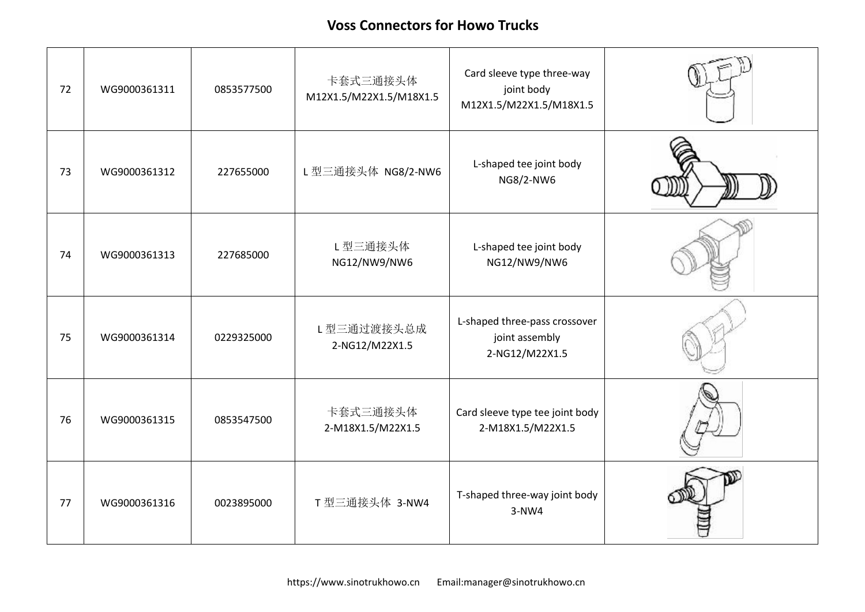| 72 | WG9000361311 | 0853577500 | 卡套式三通接头体<br>M12X1.5/M22X1.5/M18X1.5 | Card sleeve type three-way<br>joint body<br>M12X1.5/M22X1.5/M18X1.5 |  |
|----|--------------|------------|-------------------------------------|---------------------------------------------------------------------|--|
| 73 | WG9000361312 | 227655000  | L型三通接头体 NG8/2-NW6                   | L-shaped tee joint body<br>NG8/2-NW6                                |  |
| 74 | WG9000361313 | 227685000  | L型三通接头体<br>NG12/NW9/NW6             | L-shaped tee joint body<br>NG12/NW9/NW6                             |  |
| 75 | WG9000361314 | 0229325000 | L型三通过渡接头总成<br>2-NG12/M22X1.5        | L-shaped three-pass crossover<br>joint assembly<br>2-NG12/M22X1.5   |  |
| 76 | WG9000361315 | 0853547500 | 卡套式三通接头体<br>2-M18X1.5/M22X1.5       | Card sleeve type tee joint body<br>2-M18X1.5/M22X1.5                |  |
| 77 | WG9000361316 | 0023895000 | T 型三通接头体 3-NW4                      | T-shaped three-way joint body<br>$3-NW4$                            |  |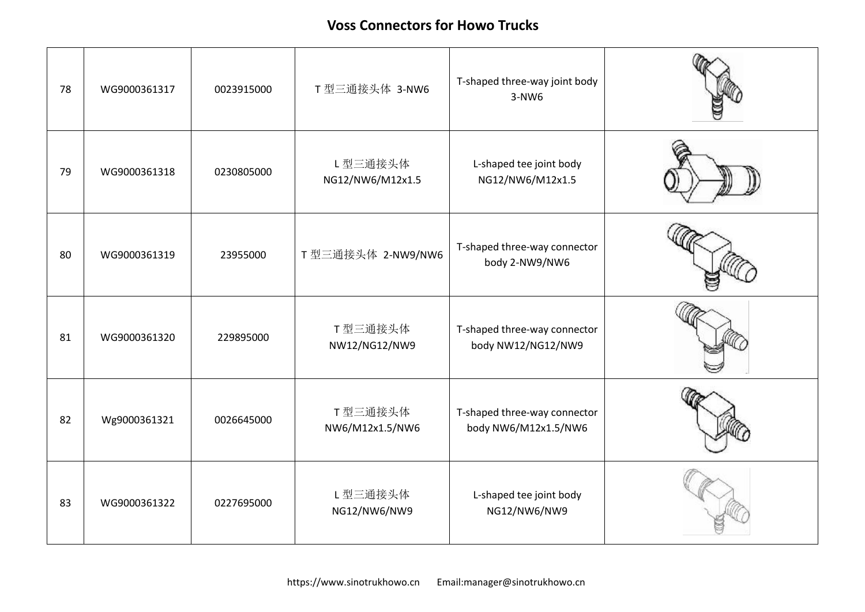| 78 | WG9000361317 | 0023915000 | T 型三通接头体 3-NW6              | T-shaped three-way joint body<br>$3-NW6$             |  |
|----|--------------|------------|-----------------------------|------------------------------------------------------|--|
| 79 | WG9000361318 | 0230805000 | L型三通接头体<br>NG12/NW6/M12x1.5 | L-shaped tee joint body<br>NG12/NW6/M12x1.5          |  |
| 80 | WG9000361319 | 23955000   | T 型三通接头体 2-NW9/NW6          | T-shaped three-way connector<br>body 2-NW9/NW6       |  |
| 81 | WG9000361320 | 229895000  | T型三通接头体<br>NW12/NG12/NW9    | T-shaped three-way connector<br>body NW12/NG12/NW9   |  |
| 82 | Wg9000361321 | 0026645000 | T型三通接头体<br>NW6/M12x1.5/NW6  | T-shaped three-way connector<br>body NW6/M12x1.5/NW6 |  |
| 83 | WG9000361322 | 0227695000 | L型三通接头体<br>NG12/NW6/NW9     | L-shaped tee joint body<br>NG12/NW6/NW9              |  |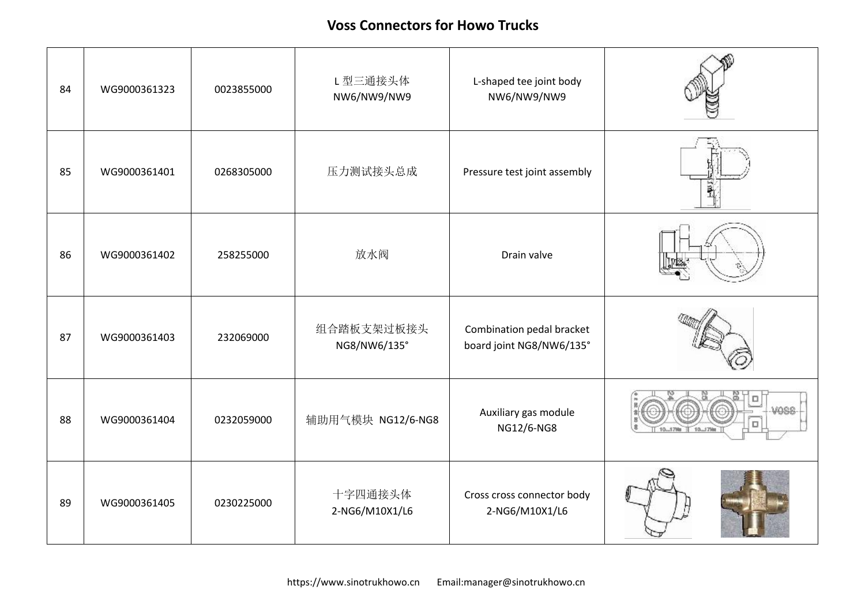| 84 | WG9000361323 | 0023855000 | L型三通接头体<br>NW6/NW9/NW9     | L-shaped tee joint body<br>NW6/NW9/NW9                |                  |
|----|--------------|------------|----------------------------|-------------------------------------------------------|------------------|
| 85 | WG9000361401 | 0268305000 | 压力测试接头总成                   | Pressure test joint assembly                          | ₹ish             |
| 86 | WG9000361402 | 258255000  | 放水阀                        | Drain valve                                           |                  |
| 87 | WG9000361403 | 232069000  | 组合踏板支架过板接头<br>NG8/NW6/135° | Combination pedal bracket<br>board joint NG8/NW6/135° |                  |
| 88 | WG9000361404 | 0232059000 | 辅助用气模块 NG12/6-NG8          | Auxiliary gas module<br>NG12/6-NG8                    | VOSS<br>10 J 79m |
| 89 | WG9000361405 | 0230225000 | 十字四通接头体<br>2-NG6/M10X1/L6  | Cross cross connector body<br>2-NG6/M10X1/L6          |                  |